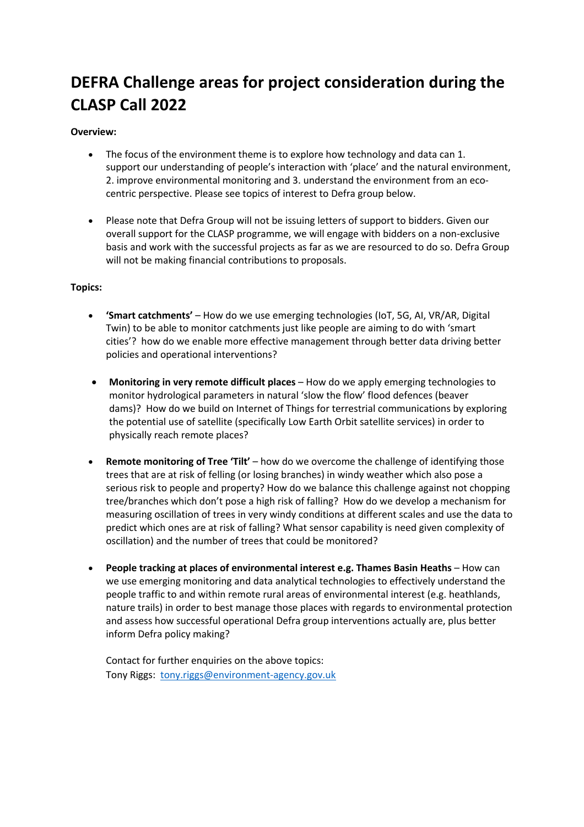## **DEFRA Challenge areas for project consideration during the CLASP Call 2022**

## **Overview:**

- The focus of the environment theme is to explore how technology and data can 1. support our understanding of people's interaction with 'place' and the natural environment, 2. improve environmental monitoring and 3. understand the environment from an ecocentric perspective. Please see topics of interest to Defra group below.
- Please note that Defra Group will not be issuing letters of support to bidders. Given our overall support for the CLASP programme, we will engage with bidders on a non-exclusive basis and work with the successful projects as far as we are resourced to do so. Defra Group will not be making financial contributions to proposals.

## **Topics:**

- **'Smart catchments'** How do we use emerging technologies (IoT, 5G, AI, VR/AR, Digital Twin) to be able to monitor catchments just like people are aiming to do with 'smart cities'? how do we enable more effective management through better data driving better policies and operational interventions?
- **Monitoring in very remote difficult places**  How do we apply emerging technologies to monitor hydrological parameters in natural 'slow the flow' flood defences (beaver dams)? How do we build on Internet of Things for terrestrial communications by exploring the potential use of satellite (specifically Low Earth Orbit satellite services) in order to physically reach remote places?
- **Remote monitoring of Tree 'Tilt'** how do we overcome the challenge of identifying those trees that are at risk of felling (or losing branches) in windy weather which also pose a serious risk to people and property? How do we balance this challenge against not chopping tree/branches which don't pose a high risk of falling? How do we develop a mechanism for measuring oscillation of trees in very windy conditions at different scales and use the data to predict which ones are at risk of falling? What sensor capability is need given complexity of oscillation) and the number of trees that could be monitored?
- **People tracking at places of environmental interest e.g. Thames Basin Heaths** How can we use emerging monitoring and data analytical technologies to effectively understand the people traffic to and within remote rural areas of environmental interest (e.g. heathlands, nature trails) in order to best manage those places with regards to environmental protection and assess how successful operational Defra group interventions actually are, plus better inform Defra policy making?

Contact for further enquiries on the above topics: Tony Riggs: tony.riggs@environment-agency.gov.uk